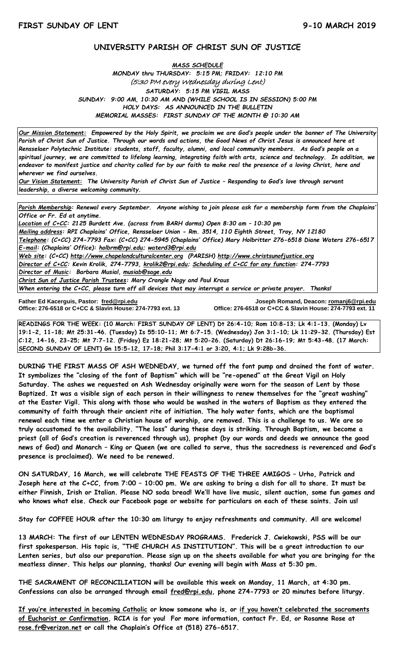# **UNIVERSITY PARISH OF CHRIST SUN OF JUSTICE**

## *MASS SCHEDULE MONDAY thru THURSDAY: 5:15 PM; FRIDAY: 12:10 PM* (5:30 PM every Wednesday during Lent) *SATURDAY: 5:15 PM VIGIL MASS SUNDAY: 9:00 AM, 10:30 AM AND (WHILE SCHOOL IS IN SESSION) 5:00 PM HOLY DAYS: AS ANNOUNCED IN THE BULLETIN MEMORIAL MASSES: FIRST SUNDAY OF THE MONTH @ 10:30 AM*

*Our Mission Statement:**Empowered by the Holy Spirit, we proclaim we are God's people under the banner of The University Parish of Christ Sun of Justice. Through our words and actions, the Good News of Christ Jesus is announced here at Rensselaer Polytechnic Institute: students, staff, faculty, alumni, and local community members. As God's people on a spiritual journey, we are committed to lifelong learning, integrating faith with arts, science and technology. In addition, we endeavor to manifest justice and charity called for by our faith to make real the presence of a loving Christ, here and wherever we find ourselves.*

*Our Vision Statement: The University Parish of Christ Sun of Justice – Responding to God's love through servant leadership, a diverse welcoming community.*

*Parish Membership: Renewal every September. Anyone wishing to join please ask for a membership form from the Chaplains' Office or Fr. Ed at anytime.*

*Location of C+CC: 2125 Burdett Ave. (across from BARH dorms) Open 8:30 am – 10:30 pm Mailing address: RPI Chaplains' Office, Rensselaer Union - Rm. 3514, 110 Eighth Street, Troy, NY 12180 Telephone: (C+CC) 274-7793 Fax: (C+CC) 274-5945 (Chaplains' Office) Mary Holbritter 276-6518 Diane Waters 276-6517 E-mail: (Chaplains' Office): [holbrm@rpi.edu;](mailto:holbrm@rpi.edu) waterd3@rpi.edu Web site: (C+CC) [http://www.chapelandculturalcenter.org](http://www.chapelandculturalcenter.org/) (PARISH) http://www.christsunofjustice.org Director of C+CC: Kevin Krolik, 274-7793, krolik2@rpi.edu; Scheduling of C+CC for any function: 274-7793 Director of Music: Barbara Musial, [musiab@sage.edu](mailto:musiab@sage.edu) Christ Sun of Justice Parish Trustees: Mary Crangle Nagy and Paul Kraus*

*When entering the C+CC, please turn off all devices that may interrupt a service or private prayer. Thanks!* 

Father Ed Kacerguis, Pastor: fred@rpi.edu **Office: 276-6518 or C+CC & Slavin House: 274-7793 ext. 13** 

**Father Ed Kacerguis, Pastor: [fred@rpi.edu](mailto:fred@rpi.edu) Joseph Romand, Deacon[: romanj6@rpi.edu](mailto:romanj6@rpi.edu)**

**READINGS FOR THE WEEK: (10 March: FIRST SUNDAY OF LENT) Dt 26:4-10; Rom 10:8-13; Lk 4:1-13. (Monday) Lv 19:1-2, 11-18; Mt 25:31-46. (Tuesday) Is 55:10-11; Mt 6:7-15. (Wednesday) Jon 3:1-10; Lk 11:29-32. (Thursday) Est C:12, 14-16, 23-25; Mt 7:7-12. (Friday) Ez 18:21-28; Mt 5:20-26. (Saturday) Dt 26:16-19; Mt 5:43-48. (17 March: SECOND SUNDAY OF LENT) Gn 15:5-12, 17-18; Phil 3:17-4:1 or 3:20, 4:1; Lk 9:28b-36.**

**DURING THE FIRST MASS OF ASH WEDNEDAY, we turned off the font pump and drained the font of water. It symbolizes the "closing of the font of Baptism" which will be "re-opened" at the Great Vigil on Holy Saturday. The ashes we requested on Ash Wednesday originally were worn for the season of Lent by those Baptized. It was a visible sign of each person in their willingness to renew themselves for the "great washing" at the Easter Vigil. This along with those who would be washed in the waters of Baptism as they entered the community of faith through their ancient rite of initiation. The holy water fonts, which are the baptismal renewal each time we enter a Christian house of worship, are removed. This is a challenge to us. We are so truly accustomed to the availability. "The loss" during these days is striking. Through Baptism, we become a priest (all of God's creation is reverenced through us), prophet (by our words and deeds we announce the good news of God) and Monarch – King or Queen (we are called to serve, thus the sacredness is reverenced and God's presence is proclaimed). We need to be renewed.** 

**ON SATURDAY, 16 March, we will celebrate THE FEASTS OF THE THREE AMIGOS – Urho, Patrick and Joseph here at the C+CC, from 7:00 – 10:00 pm. We are asking to bring a dish for all to share. It must be either Finnish, Irish or Italian. Please NO soda bread! We'll have live music, silent auction, some fun games and who knows what else. Check our Facebook page or website for particulars on each of these saints. Join us!**

**Stay for COFFEE HOUR after the 10:30 am liturgy to enjoy refreshments and community. All are welcome!**

**13 MARCH: The first of our LENTEN WEDNESDAY PROGRAMS. Frederick J. Cwiekowski, PSS will be our first spokesperson. His topic is, "THE CHURCH AS INSTITUTION". This will be a great introduction to our Lenten series, but also our preparation. Please sign up on the sheets available for what you are bringing for the meatless dinner. This helps our planning, thanks! Our evening will begin with Mass at 5:30 pm.** 

**THE SACRAMENT OF RECONCILIATION will be available this week on Monday, 11 March, at 4:30 pm. Confessions can also be arranged through email [fred@rpi.edu,](mailto:fred@rpi.edu) phone 274-7793 or 20 minutes before liturgy.**

**If you're interested in becoming Catholic or know someone who is, or if you haven't celebrated the sacraments of Eucharist or Confirmation, RCIA is for you! For more information, contact Fr. Ed, or Rosanne Rose at [rose.fr@verizon.net](mailto:rose.fr@verizon.net) or call the Chaplain's Office at (518) 276-6517.**